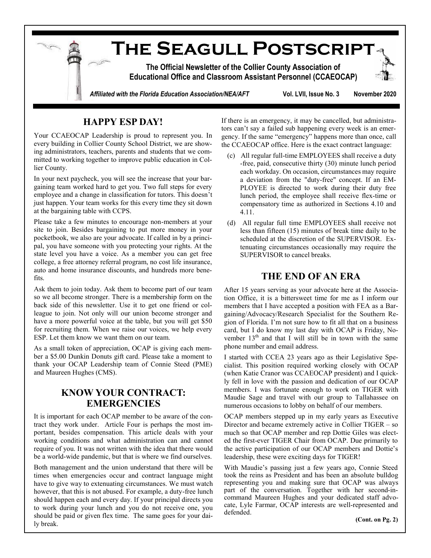

## **HAPPY ESP DAY!**

Your CCAEOCAP Leadership is proud to represent you. In every building in Collier County School District, we are showing administrators, teachers, parents and students that we committed to working together to improve public education in Collier County.

In your next paycheck, you will see the increase that your bargaining team worked hard to get you. Two full steps for every employee and a change in classification for tutors. This doesn't just happen. Your team works for this every time they sit down at the bargaining table with CCPS.

Please take a few minutes to encourage non-members at your site to join. Besides bargaining to put more money in your pocketbook, we also are your advocate. If called in by a principal, you have someone with you protecting your rights. At the state level you have a voice. As a member you can get free college, a free attorney referral program, no cost life insurance, auto and home insurance discounts, and hundreds more benefits.

Ask them to join today. Ask them to become part of our team so we all become stronger. There is a membership form on the back side of this newsletter. Use it to get one friend or colleague to join. Not only will our union become stronger and have a more powerful voice at the table, but you will get \$50 for recruiting them. When we raise our voices, we help every ESP. Let them know we want them on our team.

As a small token of appreciation, OCAP is giving each member a \$5.00 Dunkin Donuts gift card. Please take a moment to thank your OCAP Leadership team of Connie Steed (PME) and Maureen Hughes (CMS).

## **KNOW YOUR CONTRACT: EMERGENCIES**

It is important for each OCAP member to be aware of the contract they work under. Article Four is perhaps the most important, besides compensation. This article deals with your working conditions and what administration can and cannot require of you. It was not written with the idea that there would be a world-wide pandemic, but that is where we find ourselves.

Both management and the union understand that there will be times when emergencies occur and contract language might have to give way to extenuating circumstances. We must watch however, that this is not abused. For example, a duty-free lunch should happen each and every day. If your principal directs you to work during your lunch and you do not receive one, you should be paid or given flex time. The same goes for your daily break.

If there is an emergency, it may be cancelled, but administrators can't say a failed sub happening every week is an emergency. If the same "emergency" happens more than once, call the CCAEOCAP office. Here is the exact contract language:

- (c) All regular full-time EMPLOYEES shall receive a duty -free, paid, consecutive thirty (30) minute lunch period each workday. On occasion, circumstances may require a deviation from the "duty-free" concept. If an EM-PLOYEE is directed to work during their duty free lunch period, the employee shall receive flex-time or compensatory time as authorized in Sections 4.10 and 4.11.
- (d) All regular full time EMPLOYEES shall receive not less than fifteen (15) minutes of break time daily to be scheduled at the discretion of the SUPERVISOR. Extenuating circumstances occasionally may require the SUPERVISOR to cancel breaks.

## **THE END OF AN ERA**

After 15 years serving as your advocate here at the Association Office, it is a bittersweet time for me as I inform our members that I have accepted a position with FEA as a Bargaining/Advocacy/Research Specialist for the Southern Region of Florida. I'm not sure how to fit all that on a business card, but I do know my last day with OCAP is Friday, November  $13<sup>th</sup>$  and that I will still be in town with the same phone number and email address.

I started with CCEA 23 years ago as their Legislative Specialist. This position required working closely with OCAP (when Katie Cranor was CCAEOCAP president) and I quickly fell in love with the passion and dedication of our OCAP members. I was fortunate enough to work on TIGER with Maudie Sage and travel with our group to Tallahassee on numerous occasions to lobby on behalf of our members.

OCAP members stepped up in my early years as Executive Director and became extremely active in Collier TIGER – so much so that OCAP member and rep Dottie Giles was elected the first-ever TIGER Chair from OCAP. Due primarily to the active participation of our OCAP members and Dottie's leadership, these were exciting days for TIGER!

With Maudie's passing just a few years ago, Connie Steed took the reins as President and has been an absolute bulldog representing you and making sure that OCAP was always part of the conversation. Together with her second-incommand Maureen Hughes and your dedicated staff advocate, Lyle Farmar, OCAP interests are well-represented and defended.

**(Cont. on Pg. 2)**